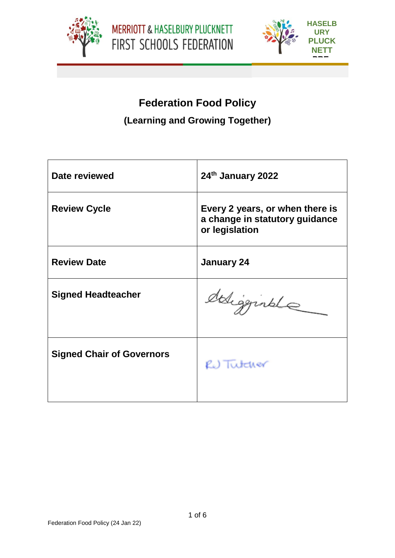



# **Federation Food Policy**

## **(Learning and Growing Together)**

| Date reviewed                    | 24th January 2022                                                                   |
|----------------------------------|-------------------------------------------------------------------------------------|
| <b>Review Cycle</b>              | Every 2 years, or when there is<br>a change in statutory guidance<br>or legislation |
| <b>Review Date</b>               | <b>January 24</b>                                                                   |
| <b>Signed Headteacher</b>        | deligginale                                                                         |
| <b>Signed Chair of Governors</b> | RU Tutcher                                                                          |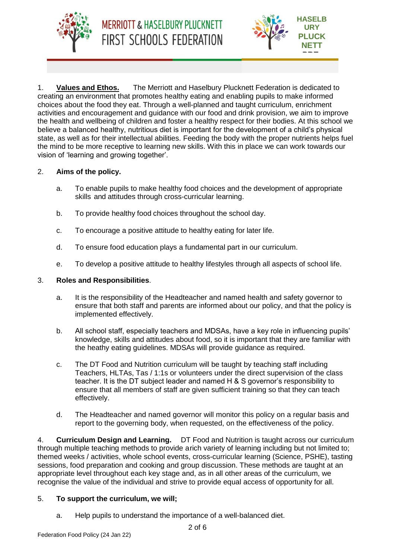



1. **Values and Ethos.** The Merriott and Haselbury Plucknett Federation is dedicated to creating an environment that promotes healthy eating and enabling pupils to make informed choices about the food they eat. Through a well-planned and taught curriculum, enrichment activities and encouragement and guidance with our food and drink provision, we aim to improve the health and wellbeing of children and foster a healthy respect for their bodies. At this school we believe a balanced healthy, nutritious diet is important for the development of a child's physical state, as well as for their intellectual abilities. Feeding the body with the proper nutrients helps fuel the mind to be more receptive to learning new skills. With this in place we can work towards our vision of 'learning and growing together'.

## 2. **Aims of the policy.**

- a. To enable pupils to make healthy food choices and the development of appropriate skills and attitudes through cross-curricular learning.
- b. To provide healthy food choices throughout the school day.
- c. To encourage a positive attitude to healthy eating for later life.
- d. To ensure food education plays a fundamental part in our curriculum.
- e. To develop a positive attitude to healthy lifestyles through all aspects of school life.

## 3. **Roles and Responsibilities**.

- a. It is the responsibility of the Headteacher and named health and safety governor to ensure that both staff and parents are informed about our policy, and that the policy is implemented effectively.
- b. All school staff, especially teachers and MDSAs, have a key role in influencing pupils' knowledge, skills and attitudes about food, so it is important that they are familiar with the heathy eating guidelines. MDSAs will provide guidance as required.
- c. The DT Food and Nutrition curriculum will be taught by teaching staff including Teachers, HLTAs, Tas / 1:1s or volunteers under the direct supervision of the class teacher. It is the DT subject leader and named H & S governor's responsibility to ensure that all members of staff are given sufficient training so that they can teach effectively.
- d. The Headteacher and named governor will monitor this policy on a regular basis and report to the governing body, when requested, on the effectiveness of the policy.

4. **Curriculum Design and Learning.** DT Food and Nutrition is taught across our curriculum through multiple teaching methods to provide arich variety of learning including but not limited to; themed weeks / activities, whole school events, cross-curricular learning (Science, PSHE), tasting sessions, food preparation and cooking and group discussion. These methods are taught at an appropriate level throughout each key stage and, as in all other areas of the curriculum, we recognise the value of the individual and strive to provide equal access of opportunity for all.

## 5. **To support the curriculum, we will;**

a. Help pupils to understand the importance of a well-balanced diet.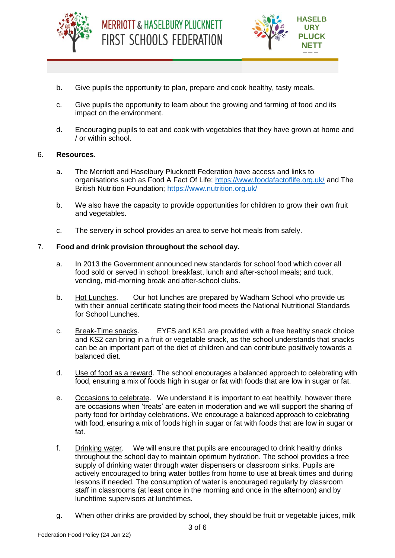



- b. Give pupils the opportunity to plan, prepare and cook healthy, tasty meals.
- c. Give pupils the opportunity to learn about the growing and farming of food and its impact on the environment.
- d. Encouraging pupils to eat and cook with vegetables that they have grown at home and / or within school.

#### 6. **Resources**.

- a. The Merriott and Haselbury Plucknett Federation have access and links to organisations such as Food A Fact Of Life;<https://www.foodafactoflife.org.uk/> and The British Nutrition Foundation;<https://www.nutrition.org.uk/>
- b. We also have the capacity to provide opportunities for children to grow their own fruit and vegetables.
- c. The servery in school provides an area to serve hot meals from safely.

#### 7. **Food and drink provision throughout the school day.**

- a. In 2013 the Government announced new standards for school food which cover all food sold or served in school: breakfast, lunch and after-school meals; and tuck, vending, mid-morning break and after-school clubs.
- b. Hot Lunches. Our hot lunches are prepared by Wadham School who provide us with their annual certificate stating their food meets the National Nutritional Standards for School Lunches.
- c. Break-Time snacks. EYFS and KS1 are provided with a free healthy snack choice and KS2 can bring in a fruit or vegetable snack, as the school understands that snacks can be an important part of the diet of children and can contribute positively towards a balanced diet.
- d. Use of food as a reward. The school encourages a balanced approach to celebrating with food, ensuring a mix of foods high in sugar or fat with foods that are low in sugar or fat.
- e. Occasions to celebrate. We understand it is important to eat healthily, however there are occasions when 'treats' are eaten in moderation and we will support the sharing of party food for birthday celebrations. We encourage a balanced approach to celebrating with food, ensuring a mix of foods high in sugar or fat with foods that are low in sugar or fat.
- f. Drinking water. We will ensure that pupils are encouraged to drink healthy drinks throughout the school day to maintain optimum hydration. The school provides a free supply of drinking water through water dispensers or classroom sinks. Pupils are actively encouraged to bring water bottles from home to use at break times and during lessons if needed. The consumption of water is encouraged regularly by classroom staff in classrooms (at least once in the morning and once in the afternoon) and by lunchtime supervisors at lunchtimes.
- g. When other drinks are provided by school, they should be fruit or vegetable juices, milk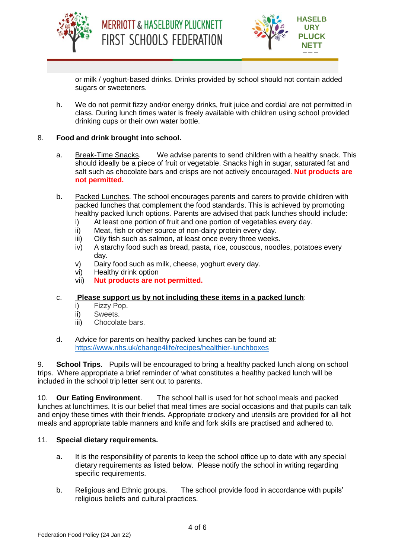





or milk / yoghurt-based drinks. Drinks provided by school should not contain added sugars or sweeteners.

h. We do not permit fizzy and/or energy drinks, fruit juice and cordial are not permitted in class. During lunch times water is freely available with children using school provided drinking cups or their own water bottle.

### 8. **Food and drink brought into school.**

- a. Break-Time Snacks. We advise parents to send children with a healthy snack. This should ideally be a piece of fruit or vegetable. Snacks high in sugar, saturated fat and salt such as chocolate bars and crisps are not actively encouraged. **Nut products are not permitted.**
- b. Packed Lunches. The school encourages parents and carers to provide children with packed lunches that complement the food standards. This is achieved by promoting healthy packed lunch options. Parents are advised that pack lunches should include:
	- i) At least one portion of fruit and one portion of vegetables every day.
	- ii) Meat, fish or other source of non-dairy protein every day.
	- iii) Oily fish such as salmon, at least once every three weeks.
	- iv) A starchy food such as bread, pasta, rice, couscous, noodles, potatoes every day.
	- v) Dairy food such as milk, cheese, yoghurt every day.
	- vi) Healthy drink option
	- vii) **Nut products are not permitted.**

#### c. **Please support us by not including these items in a packed lunch**:

- i) Fizzy Pop.
- ii) Sweets.
- iii) Chocolate bars.
- d. Advice for parents on healthy packed lunches can be found at: <https://www.nhs.uk/change4life/recipes/healthier-lunchboxes>

9. **School Trips**. Pupils will be encouraged to bring a healthy packed lunch along on school trips. Where appropriate a brief reminder of what constitutes a healthy packed lunch will be included in the school trip letter sent out to parents.

10. **Our Eating Environment**. The school hall is used for hot school meals and packed lunches at lunchtimes. It is our belief that meal times are social occasions and that pupils can talk and enjoy these times with their friends. Appropriate crockery and utensils are provided for all hot meals and appropriate table manners and knife and fork skills are practised and adhered to.

#### 11. **Special dietary requirements.**

- a. It is the responsibility of parents to keep the school office up to date with any special dietary requirements as listed below. Please notify the school in writing regarding specific requirements.
- b. Religious and Ethnic groups. The school provide food in accordance with pupils' religious beliefs and cultural practices.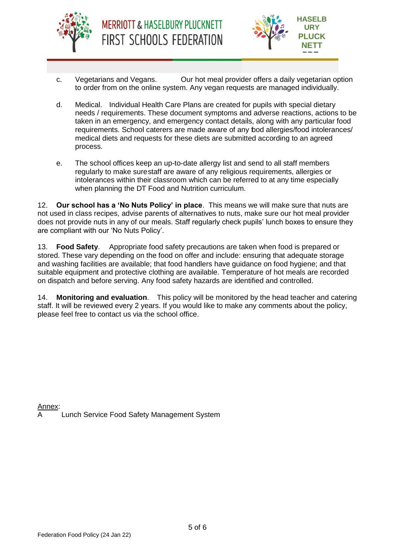



- c. Vegetarians and Vegans. Our hot meal provider offers a daily vegetarian option to order from on the online system. Any vegan requests are managed individually.
- d. Medical. Individual Health Care Plans are created for pupils with special dietary needs / requirements. These document symptoms and adverse reactions, actions to be taken in an emergency, and emergency contact details, along with any particular food requirements. School caterers are made aware of any food allergies/food intolerances/ medical diets and requests for these diets are submitted according to an agreed process.
- e. The school offices keep an up-to-date allergy list and send to all staff members regularly to make surestaff are aware of any religious requirements, allergies or intolerances within their classroom which can be referred to at any time especially when planning the DT Food and Nutrition curriculum.

12. **Our school has a 'No Nuts Policy' in place**. This means we will make sure that nuts are not used in class recipes, advise parents of alternatives to nuts, make sure our hot meal provider does not provide nuts in any of our meals. Staff regularly check pupils' lunch boxes to ensure they are compliant with our 'No Nuts Policy'.

13. **Food Safety**. Appropriate food safety precautions are taken when food is prepared or stored. These vary depending on the food on offer and include: ensuring that adequate storage and washing facilities are available; that food handlers have guidance on food hygiene; and that suitable equipment and protective clothing are available. Temperature of hot meals are recorded on dispatch and before serving. Any food safety hazards are identified and controlled.

14. **Monitoring and evaluation**. This policy will be monitored by the head teacher and catering staff. It will be reviewed every 2 years. If you would like to make any comments about the policy, please feel free to contact us via the school office.

Annex: Lunch Service Food Safety Management System